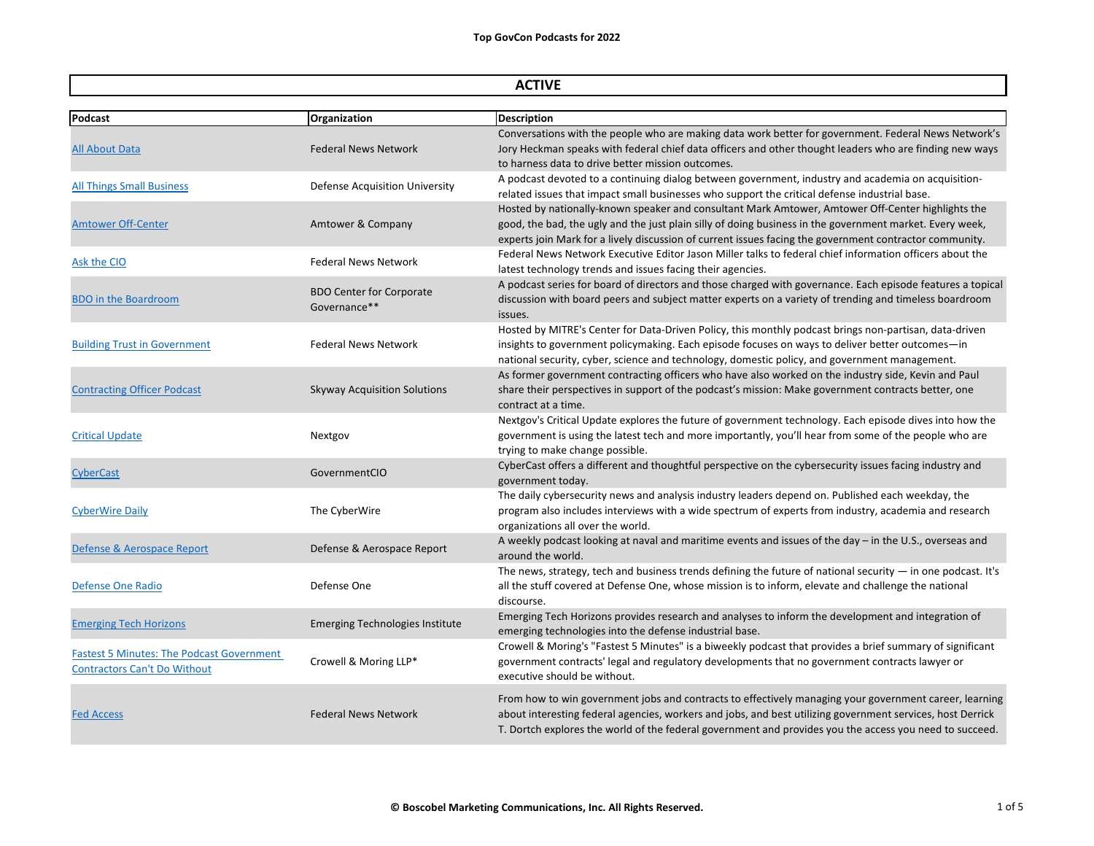| <b>ACTIVE</b>                                                                           |                                                 |                                                                                                                                                                                                                                                                                                                           |
|-----------------------------------------------------------------------------------------|-------------------------------------------------|---------------------------------------------------------------------------------------------------------------------------------------------------------------------------------------------------------------------------------------------------------------------------------------------------------------------------|
| <b>Podcast</b>                                                                          | Organization                                    | <b>Description</b>                                                                                                                                                                                                                                                                                                        |
| <b>All About Data</b>                                                                   | <b>Federal News Network</b>                     | Conversations with the people who are making data work better for government. Federal News Networl<br>Jory Heckman speaks with federal chief data officers and other thought leaders who are finding new wa<br>to harness data to drive better mission outcomes.                                                          |
| <b>All Things Small Business</b>                                                        | <b>Defense Acquisition University</b>           | A podcast devoted to a continuing dialog between government, industry and academia on acquisition-<br>related issues that impact small businesses who support the critical defense industrial base.                                                                                                                       |
| <b>Amtower Off-Center</b>                                                               | Amtower & Company                               | Hosted by nationally-known speaker and consultant Mark Amtower, Amtower Off-Center highlights the<br>good, the bad, the ugly and the just plain silly of doing business in the government market. Every week,<br>experts join Mark for a lively discussion of current issues facing the government contractor community.  |
| Ask the CIO                                                                             | <b>Federal News Network</b>                     | Federal News Network Executive Editor Jason Miller talks to federal chief information officers about the<br>latest technology trends and issues facing their agencies.                                                                                                                                                    |
| <b>BDO</b> in the Boardroom                                                             | <b>BDO Center for Corporate</b><br>Governance** | A podcast series for board of directors and those charged with governance. Each episode features a topi<br>discussion with board peers and subject matter experts on a variety of trending and timeless boardroom<br>issues.                                                                                              |
| <b>Building Trust in Government</b>                                                     | <b>Federal News Network</b>                     | Hosted by MITRE's Center for Data-Driven Policy, this monthly podcast brings non-partisan, data-driven<br>insights to government policymaking. Each episode focuses on ways to deliver better outcomes-in<br>national security, cyber, science and technology, domestic policy, and government management.                |
| <b>Contracting Officer Podcast</b>                                                      | <b>Skyway Acquisition Solutions</b>             | As former government contracting officers who have also worked on the industry side, Kevin and Paul<br>share their perspectives in support of the podcast's mission: Make government contracts better, one<br>contract at a time.                                                                                         |
| <b>Critical Update</b>                                                                  | Nextgov                                         | Nextgov's Critical Update explores the future of government technology. Each episode dives into how th<br>government is using the latest tech and more importantly, you'll hear from some of the people who are<br>trying to make change possible.                                                                        |
| <b>CyberCast</b>                                                                        | GovernmentCIO                                   | CyberCast offers a different and thoughtful perspective on the cybersecurity issues facing industry and<br>government today.                                                                                                                                                                                              |
| <b>CyberWire Daily</b>                                                                  | The CyberWire                                   | The daily cybersecurity news and analysis industry leaders depend on. Published each weekday, the<br>program also includes interviews with a wide spectrum of experts from industry, academia and research<br>organizations all over the world.                                                                           |
| Defense & Aerospace Report                                                              | Defense & Aerospace Report                      | A weekly podcast looking at naval and maritime events and issues of the day - in the U.S., overseas and<br>around the world.                                                                                                                                                                                              |
| Defense One Radio                                                                       | Defense One                                     | The news, strategy, tech and business trends defining the future of national security $-$ in one podcast. I<br>all the stuff covered at Defense One, whose mission is to inform, elevate and challenge the national<br>discourse.                                                                                         |
| <b>Emerging Tech Horizons</b>                                                           | <b>Emerging Technologies Institute</b>          | Emerging Tech Horizons provides research and analyses to inform the development and integration of<br>emerging technologies into the defense industrial base.                                                                                                                                                             |
| <b>Fastest 5 Minutes: The Podcast Government</b><br><b>Contractors Can't Do Without</b> | Crowell & Moring LLP*                           | Crowell & Moring's "Fastest 5 Minutes" is a biweekly podcast that provides a brief summary of significan<br>government contracts' legal and regulatory developments that no government contracts lawyer or<br>executive should be without.                                                                                |
| <b>Fed Access</b>                                                                       | <b>Federal News Network</b>                     | From how to win government jobs and contracts to effectively managing your government career, learn<br>about interesting federal agencies, workers and jobs, and best utilizing government services, host Derric<br>T. Dortch explores the world of the federal government and provides you the access you need to succee |

nt. Federal News Network's s who are finding new ways

ch episode features a topical g and timeless boardroom

episode dives into how the me of the people who are

 $\textrm{ncurity}$  — in one podcast. It's hallenge the national

rief summary of significant contracts lawyer or

government career, learning ment services, host Derrick ccess you need to succeed.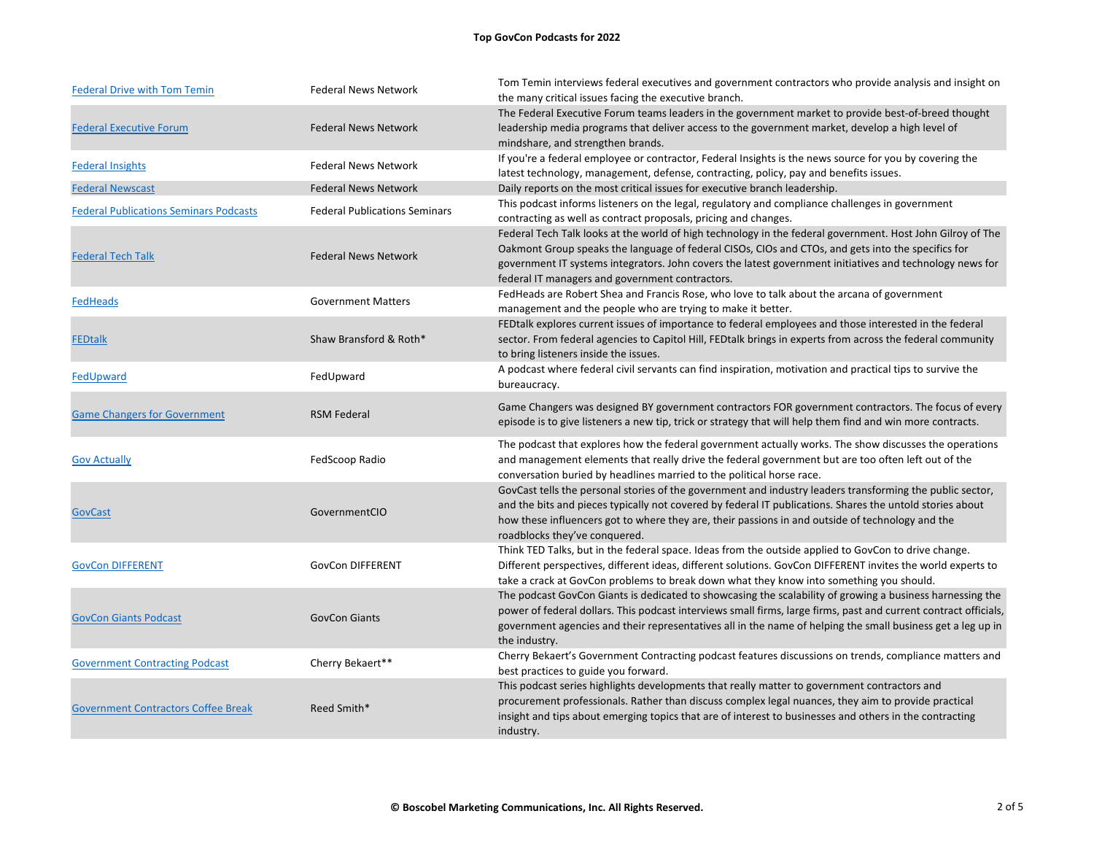## **Top GovCon Podcasts for 2022**

| <b>Federal Drive with Tom Temin</b>           | <b>Federal News Network</b>          | Tom Temin interviews federal executives and government contractors who provide analysis and insight on<br>the many critical issues facing the executive branch.                                                                                                                                                                                                                 |
|-----------------------------------------------|--------------------------------------|---------------------------------------------------------------------------------------------------------------------------------------------------------------------------------------------------------------------------------------------------------------------------------------------------------------------------------------------------------------------------------|
| <b>Federal Executive Forum</b>                | <b>Federal News Network</b>          | The Federal Executive Forum teams leaders in the government market to provide best-of-breed thought<br>leadership media programs that deliver access to the government market, develop a high level of<br>mindshare, and strengthen brands.                                                                                                                                     |
| <b>Federal Insights</b>                       | <b>Federal News Network</b>          | If you're a federal employee or contractor, Federal Insights is the news source for you by covering the<br>latest technology, management, defense, contracting, policy, pay and benefits issues.                                                                                                                                                                                |
| <b>Federal Newscast</b>                       | <b>Federal News Network</b>          | Daily reports on the most critical issues for executive branch leadership.                                                                                                                                                                                                                                                                                                      |
| <b>Federal Publications Seminars Podcasts</b> | <b>Federal Publications Seminars</b> | This podcast informs listeners on the legal, regulatory and compliance challenges in government<br>contracting as well as contract proposals, pricing and changes.                                                                                                                                                                                                              |
| <b>Federal Tech Talk</b>                      | <b>Federal News Network</b>          | Federal Tech Talk looks at the world of high technology in the federal government. Host John Gilroy of The<br>Oakmont Group speaks the language of federal CISOs, CIOs and CTOs, and gets into the specifics for<br>government IT systems integrators. John covers the latest government initiatives and technology news for<br>federal IT managers and government contractors. |
| <b>FedHeads</b>                               | <b>Government Matters</b>            | FedHeads are Robert Shea and Francis Rose, who love to talk about the arcana of government<br>management and the people who are trying to make it better.                                                                                                                                                                                                                       |
| <b>FEDtalk</b>                                | Shaw Bransford & Roth*               | FED talk explores current issues of importance to federal employees and those interested in the federal<br>sector. From federal agencies to Capitol Hill, FEDtalk brings in experts from across the federal community<br>to bring listeners inside the issues.                                                                                                                  |
| FedUpward                                     | FedUpward                            | A podcast where federal civil servants can find inspiration, motivation and practical tips to survive the<br>bureaucracy.                                                                                                                                                                                                                                                       |
| <b>Game Changers for Government</b>           | <b>RSM Federal</b>                   | Game Changers was designed BY government contractors FOR government contractors. The focus of every<br>episode is to give listeners a new tip, trick or strategy that will help them find and win more contracts.                                                                                                                                                               |
| <b>Gov Actually</b>                           | FedScoop Radio                       | The podcast that explores how the federal government actually works. The show discusses the operations<br>and management elements that really drive the federal government but are too often left out of the<br>conversation buried by headlines married to the political horse race.                                                                                           |
| <b>GovCast</b>                                | GovernmentCIO                        | GovCast tells the personal stories of the government and industry leaders transforming the public sector,<br>and the bits and pieces typically not covered by federal IT publications. Shares the untold stories about<br>how these influencers got to where they are, their passions in and outside of technology and the<br>roadblocks they've conquered.                     |
| <b>GovCon DIFFERENT</b>                       | <b>GovCon DIFFERENT</b>              | Think TED Talks, but in the federal space. Ideas from the outside applied to GovCon to drive change.<br>Different perspectives, different ideas, different solutions. GovCon DIFFERENT invites the world experts to<br>take a crack at GovCon problems to break down what they know into something you should.                                                                  |
| <b>GovCon Giants Podcast</b>                  | <b>GovCon Giants</b>                 | The podcast GovCon Giants is dedicated to showcasing the scalability of growing a business harnessing the<br>power of federal dollars. This podcast interviews small firms, large firms, past and current contract officials,<br>government agencies and their representatives all in the name of helping the small business get a leg up in<br>the industry.                   |
| <b>Government Contracting Podcast</b>         | Cherry Bekaert**                     | Cherry Bekaert's Government Contracting podcast features discussions on trends, compliance matters and<br>best practices to guide you forward.                                                                                                                                                                                                                                  |
| <b>Government Contractors Coffee Break</b>    | Reed Smith*                          | This podcast series highlights developments that really matter to government contractors and<br>procurement professionals. Rather than discuss complex legal nuances, they aim to provide practical<br>insight and tips about emerging topics that are of interest to businesses and others in the contracting<br>industry.                                                     |
|                                               |                                      |                                                                                                                                                                                                                                                                                                                                                                                 |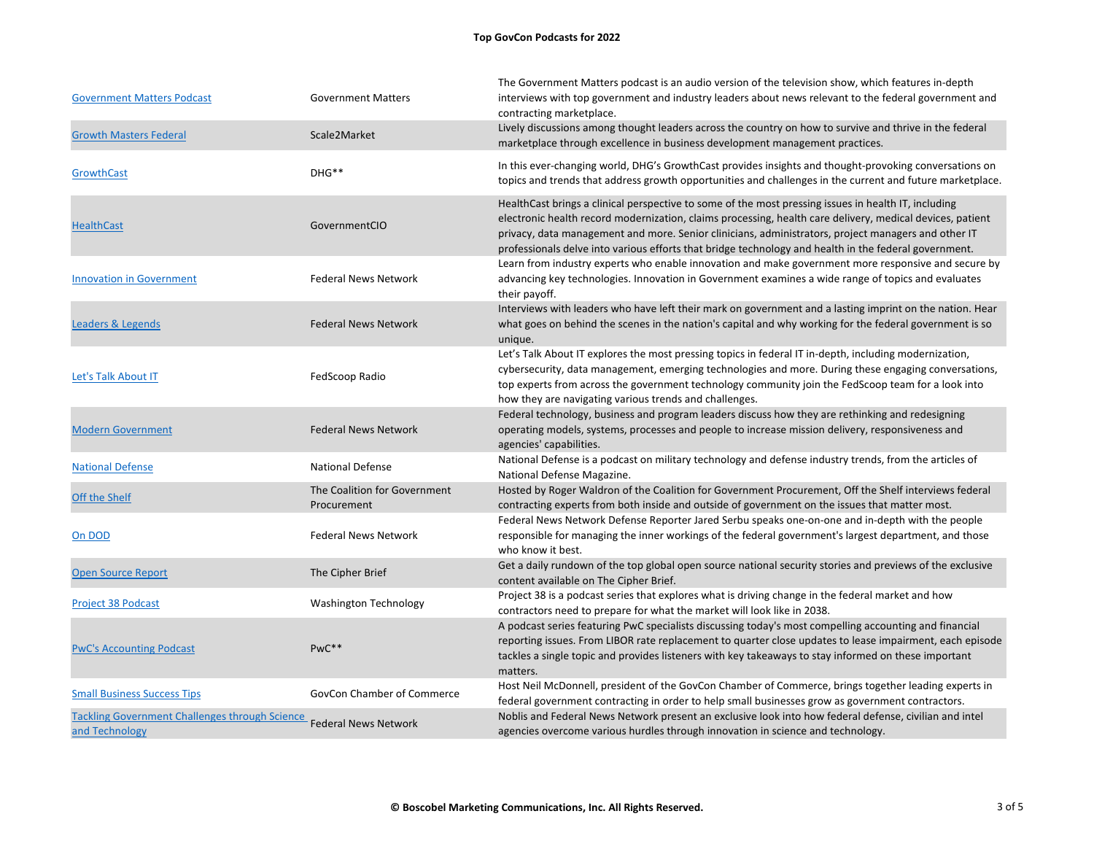| <b>Government Matters Podcast</b>                                       | <b>Government Matters</b>                   | The Government Matters podcast is an audio version of the television show, which features in-depth<br>interviews with top government and industry leaders about news relevant to the federal government and<br>contracting marketplace.                                                                                                                                                                                           |
|-------------------------------------------------------------------------|---------------------------------------------|-----------------------------------------------------------------------------------------------------------------------------------------------------------------------------------------------------------------------------------------------------------------------------------------------------------------------------------------------------------------------------------------------------------------------------------|
| <b>Growth Masters Federal</b>                                           | Scale2Market                                | Lively discussions among thought leaders across the country on how to survive and thrive in the federal<br>marketplace through excellence in business development management practices.                                                                                                                                                                                                                                           |
| GrowthCast                                                              | DHG**                                       | In this ever-changing world, DHG's GrowthCast provides insights and thought-provoking conversations on<br>topics and trends that address growth opportunities and challenges in the current and future marketplace                                                                                                                                                                                                                |
| <b>HealthCast</b>                                                       | GovernmentCIO                               | HealthCast brings a clinical perspective to some of the most pressing issues in health IT, including<br>electronic health record modernization, claims processing, health care delivery, medical devices, patient<br>privacy, data management and more. Senior clinicians, administrators, project managers and other IT<br>professionals delve into various efforts that bridge technology and health in the federal government. |
| <b>Innovation in Government</b>                                         | <b>Federal News Network</b>                 | Learn from industry experts who enable innovation and make government more responsive and secure by<br>advancing key technologies. Innovation in Government examines a wide range of topics and evaluates<br>their payoff.                                                                                                                                                                                                        |
| Leaders & Legends                                                       | <b>Federal News Network</b>                 | Interviews with leaders who have left their mark on government and a lasting imprint on the nation. Hear<br>what goes on behind the scenes in the nation's capital and why working for the federal government is so<br>unique.                                                                                                                                                                                                    |
| Let's Talk About IT                                                     | FedScoop Radio                              | Let's Talk About IT explores the most pressing topics in federal IT in-depth, including modernization,<br>cybersecurity, data management, emerging technologies and more. During these engaging conversations,<br>top experts from across the government technology community join the FedScoop team for a look into<br>how they are navigating various trends and challenges.                                                    |
| <b>Modern Government</b>                                                | <b>Federal News Network</b>                 | Federal technology, business and program leaders discuss how they are rethinking and redesigning<br>operating models, systems, processes and people to increase mission delivery, responsiveness and<br>agencies' capabilities.                                                                                                                                                                                                   |
| <b>National Defense</b>                                                 | <b>National Defense</b>                     | National Defense is a podcast on military technology and defense industry trends, from the articles of<br>National Defense Magazine.                                                                                                                                                                                                                                                                                              |
| Off the Shelf                                                           | The Coalition for Government<br>Procurement | Hosted by Roger Waldron of the Coalition for Government Procurement, Off the Shelf interviews federal<br>contracting experts from both inside and outside of government on the issues that matter most.                                                                                                                                                                                                                           |
| On DOD                                                                  | <b>Federal News Network</b>                 | Federal News Network Defense Reporter Jared Serbu speaks one-on-one and in-depth with the people<br>responsible for managing the inner workings of the federal government's largest department, and those<br>who know it best.                                                                                                                                                                                                    |
| <b>Open Source Report</b>                                               | The Cipher Brief                            | Get a daily rundown of the top global open source national security stories and previews of the exclusive<br>content available on The Cipher Brief.                                                                                                                                                                                                                                                                               |
| <b>Project 38 Podcast</b>                                               | <b>Washington Technology</b>                | Project 38 is a podcast series that explores what is driving change in the federal market and how<br>contractors need to prepare for what the market will look like in 2038.                                                                                                                                                                                                                                                      |
| <b>PwC's Accounting Podcast</b>                                         | PwC**                                       | A podcast series featuring PwC specialists discussing today's most compelling accounting and financial<br>reporting issues. From LIBOR rate replacement to quarter close updates to lease impairment, each episod<br>tackles a single topic and provides listeners with key takeaways to stay informed on these important<br>matters.                                                                                             |
| <b>Small Business Success Tips</b>                                      | <b>GovCon Chamber of Commerce</b>           | Host Neil McDonnell, president of the GovCon Chamber of Commerce, brings together leading experts in<br>federal government contracting in order to help small businesses grow as government contractors.                                                                                                                                                                                                                          |
| <b>Tackling Government Challenges through Science</b><br>and Technology | <b>Federal News Network</b>                 | Noblis and Federal News Network present an exclusive look into how federal defense, civilian and intel<br>agencies overcome various hurdles through innovation in science and technology.                                                                                                                                                                                                                                         |

hich features in-depth he federal government and

ccounting and financial re impairment, each episode d on these important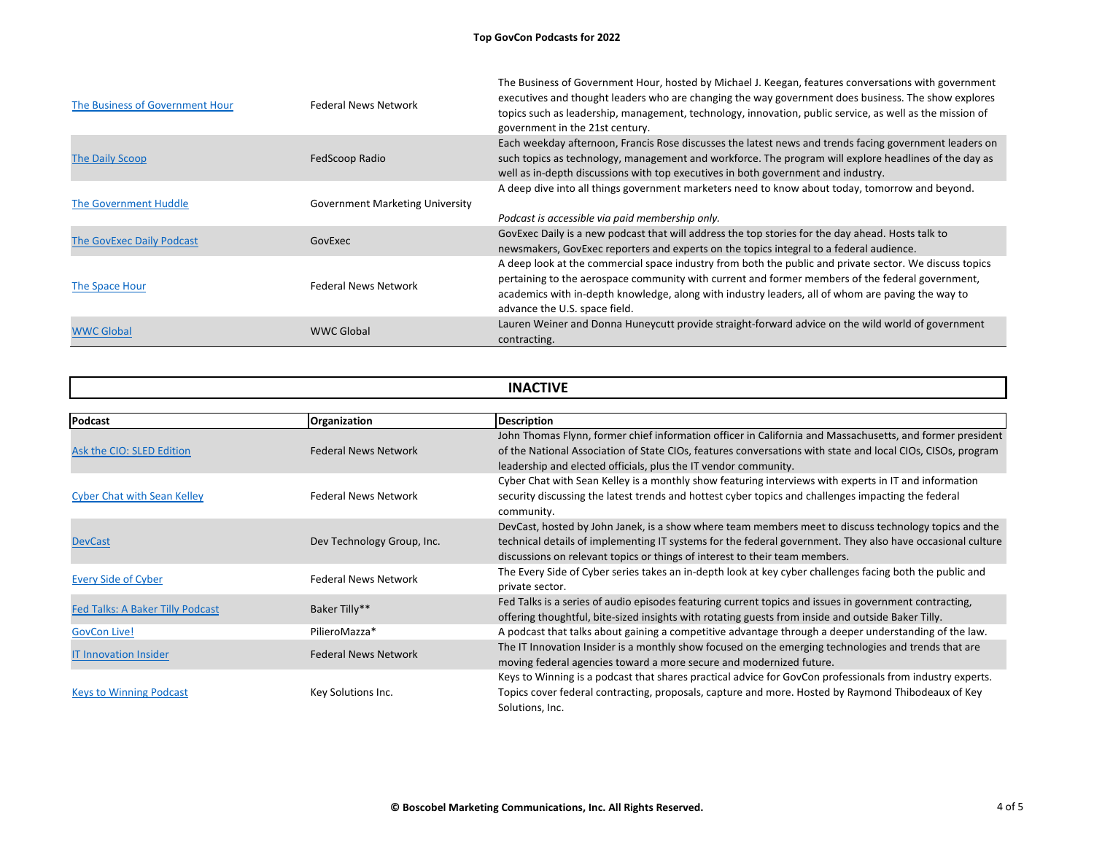| The Business of Government Hour | <b>Federal News Network</b>            | The Business of Government Hour, hosted by Michael J. Keegan, features conversations with government<br>executives and thought leaders who are changing the way government does business. The show explores<br>topics such as leadership, management, technology, innovation, public service, as well as the mission of<br>government in the 21st century. |
|---------------------------------|----------------------------------------|------------------------------------------------------------------------------------------------------------------------------------------------------------------------------------------------------------------------------------------------------------------------------------------------------------------------------------------------------------|
| <b>The Daily Scoop</b>          | FedScoop Radio                         | Each weekday afternoon, Francis Rose discusses the latest news and trends facing government leaders on<br>such topics as technology, management and workforce. The program will explore headlines of the day as<br>well as in-depth discussions with top executives in both government and industry.                                                       |
| <b>The Government Huddle</b>    | <b>Government Marketing University</b> | A deep dive into all things government marketers need to know about today, tomorrow and beyond.<br>Podcast is accessible via paid membership only.                                                                                                                                                                                                         |
| The GovExec Daily Podcast       | GovExec                                | GovExec Daily is a new podcast that will address the top stories for the day ahead. Hosts talk to<br>newsmakers, GovExec reporters and experts on the topics integral to a federal audience.                                                                                                                                                               |
| The Space Hour                  | <b>Federal News Network</b>            | A deep look at the commercial space industry from both the public and private sector. We discuss topics<br>pertaining to the aerospace community with current and former members of the federal government,<br>academics with in-depth knowledge, along with industry leaders, all of whom are paving the way to<br>advance the U.S. space field.          |
| <b>WWC Global</b>               | <b>WWC Global</b>                      | Lauren Weiner and Donna Huneycutt provide straight-forward advice on the wild world of government<br>contracting.                                                                                                                                                                                                                                          |

| <b>INACTIVE</b>                         |                             |                                                                                                                                                                                                                                                                                               |
|-----------------------------------------|-----------------------------|-----------------------------------------------------------------------------------------------------------------------------------------------------------------------------------------------------------------------------------------------------------------------------------------------|
|                                         |                             |                                                                                                                                                                                                                                                                                               |
| Ask the CIO: SLED Edition               | <b>Federal News Network</b> | John Thomas Flynn, former chief information officer in California and Massachusetts, and former presid<br>of the National Association of State CIOs, features conversations with state and local CIOs, CISOs, progra<br>leadership and elected officials, plus the IT vendor community.       |
| <b>Cyber Chat with Sean Kelley</b>      | <b>Federal News Network</b> | Cyber Chat with Sean Kelley is a monthly show featuring interviews with experts in IT and information<br>security discussing the latest trends and hottest cyber topics and challenges impacting the federal<br>community.                                                                    |
| <b>DevCast</b>                          | Dev Technology Group, Inc.  | DevCast, hosted by John Janek, is a show where team members meet to discuss technology topics and t<br>technical details of implementing IT systems for the federal government. They also have occasional cult<br>discussions on relevant topics or things of interest to their team members. |
| <b>Every Side of Cyber</b>              | <b>Federal News Network</b> | The Every Side of Cyber series takes an in-depth look at key cyber challenges facing both the public and<br>private sector.                                                                                                                                                                   |
| <b>Fed Talks: A Baker Tilly Podcast</b> | Baker Tilly**               | Fed Talks is a series of audio episodes featuring current topics and issues in government contracting,<br>offering thoughtful, bite-sized insights with rotating guests from inside and outside Baker Tilly.                                                                                  |
| <b>GovCon Live!</b>                     | PilieroMazza*               | A podcast that talks about gaining a competitive advantage through a deeper understanding of the law.                                                                                                                                                                                         |
| <b>IT Innovation Insider</b>            | <b>Federal News Network</b> | The IT Innovation Insider is a monthly show focused on the emerging technologies and trends that are<br>moving federal agencies toward a more secure and modernized future.                                                                                                                   |
| <b>Keys to Winning Podcast</b>          | Key Solutions Inc.          | Keys to Winning is a podcast that shares practical advice for GovCon professionals from industry experts<br>Topics cover federal contracting, proposals, capture and more. Hosted by Raymond Thibodeaux of Key<br>Solutions, Inc.                                                             |

John Thomas Flynner chief information and Talifornia and Talifornia and Talifornia and  $\overline{a}$ I local CIOs, CISOs, program

s technology topics and the also have occasional culture